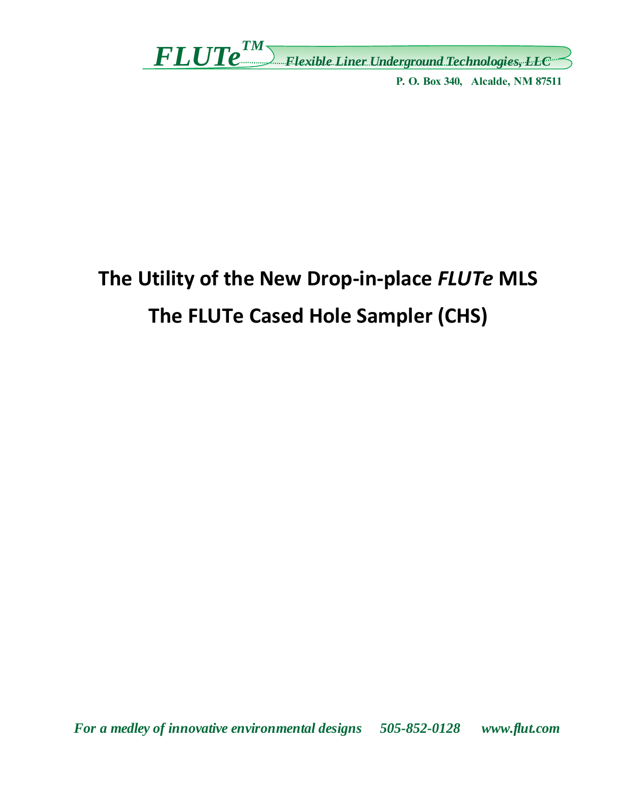$FLUP^{\textit{TM}}$  Flexible Liner Underground Technologies, LEC

P. O. Box 340, Alcalde, NM 87511

# The Utility of the New Drop-in-place FLUTe MLS The FLUTe Cased Hole Sampler (CHS)

For a medley of innovative environmental designs 505-852-0128 www.flut.com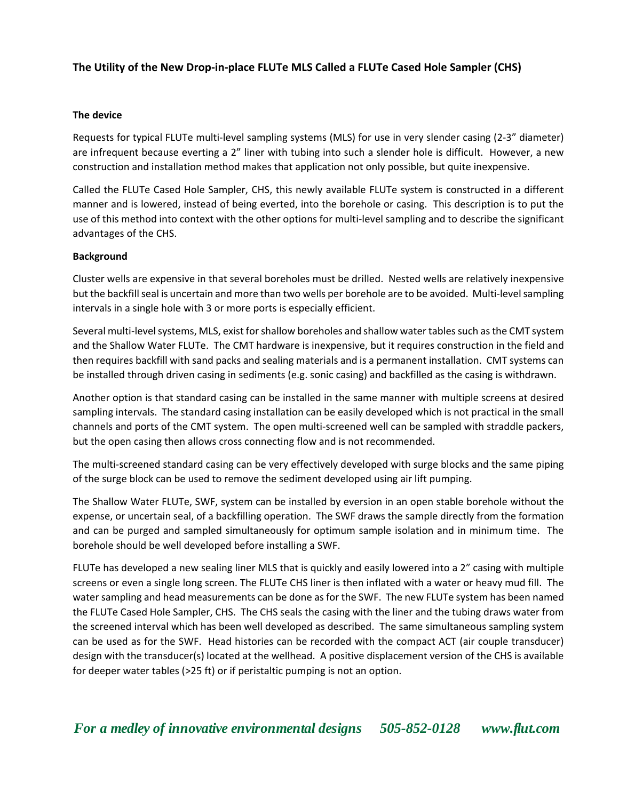## **The Utility of the New Drop‐in‐place FLUTe MLS Called a FLUTe Cased Hole Sampler (CHS)**

## **The device**

Requests for typical FLUTe multi‐level sampling systems (MLS) for use in very slender casing (2‐3" diameter) are infrequent because everting a 2" liner with tubing into such a slender hole is difficult. However, a new construction and installation method makes that application not only possible, but quite inexpensive.

Called the FLUTe Cased Hole Sampler, CHS, this newly available FLUTe system is constructed in a different manner and is lowered, instead of being everted, into the borehole or casing. This description is to put the use of this method into context with the other options for multi‐level sampling and to describe the significant advantages of the CHS.

## **Background**

Cluster wells are expensive in that several boreholes must be drilled. Nested wells are relatively inexpensive but the backfill seal is uncertain and more than two wells per borehole are to be avoided. Multi‐level sampling intervals in a single hole with 3 or more ports is especially efficient.

Several multi‐level systems, MLS, exist for shallow boreholes and shallow water tables such as the CMT system and the Shallow Water FLUTe. The CMT hardware is inexpensive, but it requires construction in the field and then requires backfill with sand packs and sealing materials and is a permanent installation. CMT systems can be installed through driven casing in sediments (e.g. sonic casing) and backfilled as the casing is withdrawn.

Another option is that standard casing can be installed in the same manner with multiple screens at desired sampling intervals. The standard casing installation can be easily developed which is not practical in the small channels and ports of the CMT system. The open multi-screened well can be sampled with straddle packers, but the open casing then allows cross connecting flow and is not recommended.

The multi-screened standard casing can be very effectively developed with surge blocks and the same piping of the surge block can be used to remove the sediment developed using air lift pumping.

The Shallow Water FLUTe, SWF, system can be installed by eversion in an open stable borehole without the expense, or uncertain seal, of a backfilling operation. The SWF draws the sample directly from the formation and can be purged and sampled simultaneously for optimum sample isolation and in minimum time. The borehole should be well developed before installing a SWF.

FLUTe has developed a new sealing liner MLS that is quickly and easily lowered into a 2" casing with multiple screens or even a single long screen. The FLUTe CHS liner is then inflated with a water or heavy mud fill. The water sampling and head measurements can be done as for the SWF. The new FLUTe system has been named the FLUTe Cased Hole Sampler, CHS. The CHS seals the casing with the liner and the tubing draws water from the screened interval which has been well developed as described. The same simultaneous sampling system can be used as for the SWF. Head histories can be recorded with the compact ACT (air couple transducer) design with the transducer(s) located at the wellhead. A positive displacement version of the CHS is available for deeper water tables (>25 ft) or if peristaltic pumping is not an option.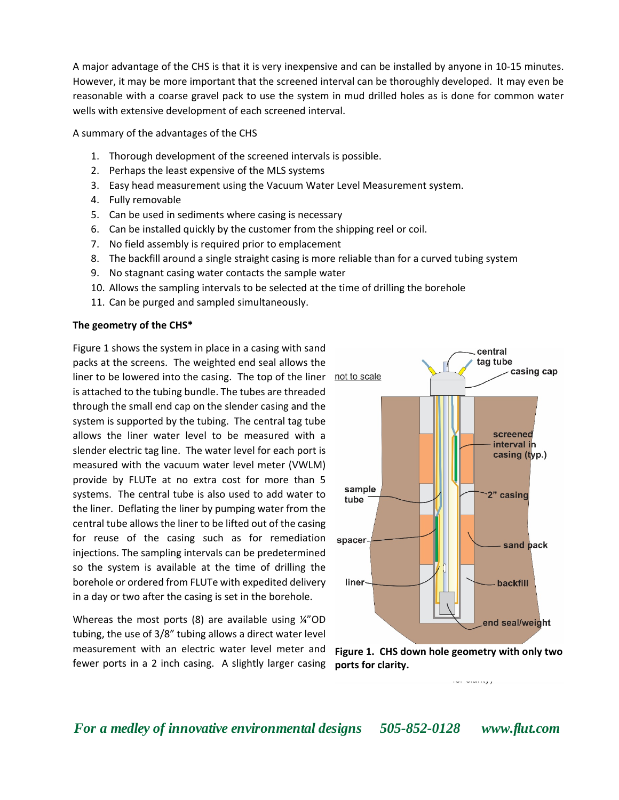A major advantage of the CHS is that it is very inexpensive and can be installed by anyone in 10‐15 minutes. However, it may be more important that the screened interval can be thoroughly developed. It may even be reasonable with a coarse gravel pack to use the system in mud drilled holes as is done for common water wells with extensive development of each screened interval.

A summary of the advantages of the CHS

- 1. Thorough development of the screened intervals is possible.
- 2. Perhaps the least expensive of the MLS systems
- 3. Easy head measurement using the Vacuum Water Level Measurement system.
- 4. Fully removable
- 5. Can be used in sediments where casing is necessary
- 6. Can be installed quickly by the customer from the shipping reel or coil.
- 7. No field assembly is required prior to emplacement
- 8. The backfill around a single straight casing is more reliable than for a curved tubing system
- 9. No stagnant casing water contacts the sample water
- 10. Allows the sampling intervals to be selected at the time of drilling the borehole
- 11. Can be purged and sampled simultaneously.

## **The geometry of the CHS\***

Figure 1 shows the system in place in a casing with sand packs at the screens. The weighted end seal allows the liner to be lowered into the casing. The top of the liner not to scale is attached to the tubing bundle. The tubes are threaded through the small end cap on the slender casing and the system is supported by the tubing. The central tag tube allows the liner water level to be measured with a slender electric tag line. The water level for each port is measured with the vacuum water level meter (VWLM) provide by FLUTe at no extra cost for more than 5 systems. The central tube is also used to add water to the liner. Deflating the liner by pumping water from the central tube allows the liner to be lifted out of the casing for reuse of the casing such as for remediation injections. The sampling intervals can be predetermined so the system is available at the time of drilling the borehole or ordered from FLUTe with expedited delivery in a day or two after the casing is set in the borehole.

Whereas the most ports  $(8)$  are available using  $\frac{1}{4}$  OD tubing, the use of 3/8" tubing allows a direct water level measurement with an electric water level meter and fewer ports in a 2 inch casing. A slightly larger casing





*For a medley of innovative environmental designs 505-852-0128 www.flut.com*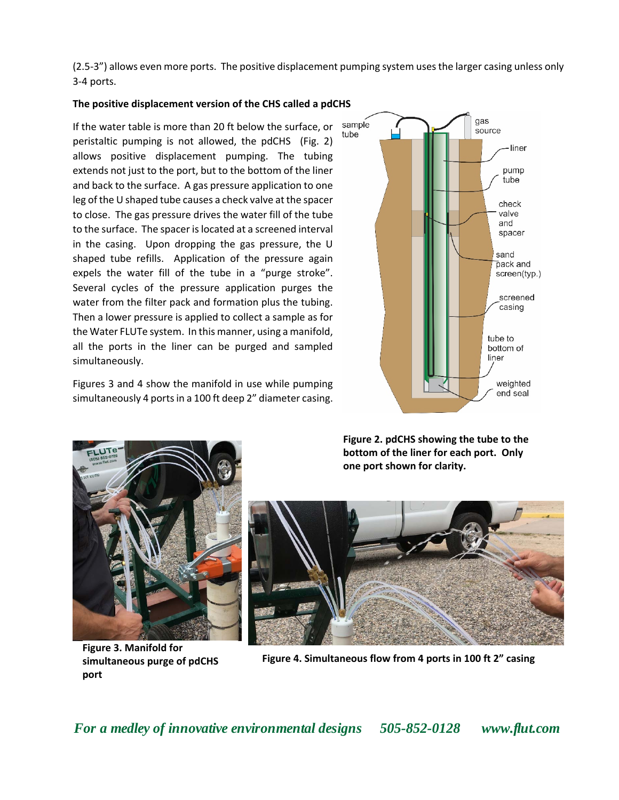(2.5‐3") allows even more ports. The positive displacement pumping system uses the larger casing unless only 3‐4 ports.

### **The positive displacement version of the CHS called a pdCHS**

If the water table is more than 20 ft below the surface, or peristaltic pumping is not allowed, the pdCHS (Fig. 2) allows positive displacement pumping. The tubing extends not just to the port, but to the bottom of the liner and back to the surface. A gas pressure application to one leg of the U shaped tube causes a check valve at the spacer to close. The gas pressure drives the water fill of the tube to the surface. The spacer is located at a screened interval in the casing. Upon dropping the gas pressure, the U shaped tube refills. Application of the pressure again expels the water fill of the tube in a "purge stroke". Several cycles of the pressure application purges the water from the filter pack and formation plus the tubing. Then a lower pressure is applied to collect a sample as for the Water FLUTe system. In this manner, using a manifold, all the ports in the liner can be purged and sampled simultaneously.

Figures 3 and 4 show the manifold in use while pumping simultaneously 4 ports in a 100 ft deep 2" diameter casing.





**Figure 3. Manifold for simultaneous purge of pdCHS port** 

**Figure 2. pdCHS showing the tube to the bottom of the liner for each port. Only one port shown for clarity.** 



**Figure 4. Simultaneous flow from 4 ports in 100 ft 2" casing**

*For a medley of innovative environmental designs 505-852-0128 www.flut.com*